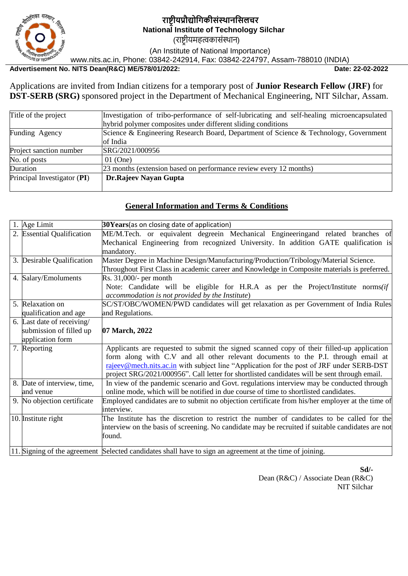

# **राष्ट्रीयप्रौद्योगिकीसंस्थानगसलचर National Institute of Technology Silchar**

(राष्ट्रीयमहत्वकासंस्थान)

(An Institute of National Importance)

www.nits.ac.in, Phone: 03842-242914, Fax: 03842-224797, Assam-788010 (INDIA)

# **Advertisement No. NITS Dean(R&C) ME/578/01/2022: Date: 22-02-2022**

Applications are invited from Indian citizens for a temporary post of **Junior Research Fellow (JRF)** for **DST-SERB (SRG)** sponsored project in the Department of Mechanical Engineering, NIT Silchar, Assam.

| Title of the project        | Investigation of tribo-performance of self-lubricating and self-healing microencapsulated |  |  |  |
|-----------------------------|-------------------------------------------------------------------------------------------|--|--|--|
|                             | hybrid polymer composites under different sliding conditions                              |  |  |  |
| Funding Agency              | Science & Engineering Research Board, Department of Science & Technology, Government      |  |  |  |
|                             | of India                                                                                  |  |  |  |
| Project sanction number     | SRG/2021/000956                                                                           |  |  |  |
| No. of posts                | $01$ (One)                                                                                |  |  |  |
| Duration                    | 23 months (extension based on performance review every 12 months)                         |  |  |  |
| Principal Investigator (PI) | <b>Dr.Rajeev Nayan Gupta</b>                                                              |  |  |  |
|                             |                                                                                           |  |  |  |

#### **General Information and Terms & Conditions**

| 1. Age Limit<br>$30Years$ (as on closing date of application) |                                                                                                          |  |  |  |  |  |  |
|---------------------------------------------------------------|----------------------------------------------------------------------------------------------------------|--|--|--|--|--|--|
| 2. Essential Qualification                                    | ME/M.Tech. or equivalent degreein Mechanical Engineeringand related branches of                          |  |  |  |  |  |  |
|                                                               | Mechanical Engineering from recognized University. In addition GATE qualification is                     |  |  |  |  |  |  |
|                                                               | mandatory.                                                                                               |  |  |  |  |  |  |
| 3. Desirable Qualification                                    | Master Degree in Machine Design/Manufacturing/Production/Tribology/Material Science.                     |  |  |  |  |  |  |
|                                                               | Throughout First Class in academic career and Knowledge in Composite materials is preferred.             |  |  |  |  |  |  |
| 4. Salary/Emoluments                                          | $Rs. 31,000/-$ per month                                                                                 |  |  |  |  |  |  |
|                                                               | Note: Candidate will be eligible for H.R.A as per the Project/Institute norms(if                         |  |  |  |  |  |  |
|                                                               | accommodation is not provided by the Institute)                                                          |  |  |  |  |  |  |
| 5. Relaxation on                                              | SC/ST/OBC/WOMEN/PWD candidates will get relaxation as per Government of India Rules                      |  |  |  |  |  |  |
| qualification and age                                         | and Regulations.                                                                                         |  |  |  |  |  |  |
| 6. Last date of receiving/                                    |                                                                                                          |  |  |  |  |  |  |
| submission of filled up                                       | 07 March, 2022                                                                                           |  |  |  |  |  |  |
| application form                                              |                                                                                                          |  |  |  |  |  |  |
| 7. Reporting                                                  | Applicants are requested to submit the signed scanned copy of their filled-up application                |  |  |  |  |  |  |
|                                                               | form along with C.V and all other relevant documents to the P.I. through email at                        |  |  |  |  |  |  |
|                                                               | rajeev@mech.nits.ac.in with subject line "Application for the post of JRF under SERB-DST                 |  |  |  |  |  |  |
|                                                               | project SRG/2021/000956". Call letter for shortlisted candidates will be sent through email.             |  |  |  |  |  |  |
| 8. Date of interview, time,                                   | In view of the pandemic scenario and Govt. regulations interview may be conducted through                |  |  |  |  |  |  |
| and venue                                                     | online mode, which will be notified in due course of time to shortlisted candidates.                     |  |  |  |  |  |  |
| 9. No objection certificate                                   | Employed candidates are to submit no objection certificate from his/her employer at the time of          |  |  |  |  |  |  |
|                                                               | interview.                                                                                               |  |  |  |  |  |  |
| 10. Institute right                                           | The Institute has the discretion to restrict the number of candidates to be called for the               |  |  |  |  |  |  |
|                                                               | interview on the basis of screening. No candidate may be recruited if suitable candidates are not        |  |  |  |  |  |  |
|                                                               | found.                                                                                                   |  |  |  |  |  |  |
|                                                               |                                                                                                          |  |  |  |  |  |  |
|                                                               | 11. Signing of the agreement Selected candidates shall have to sign an agreement at the time of joining. |  |  |  |  |  |  |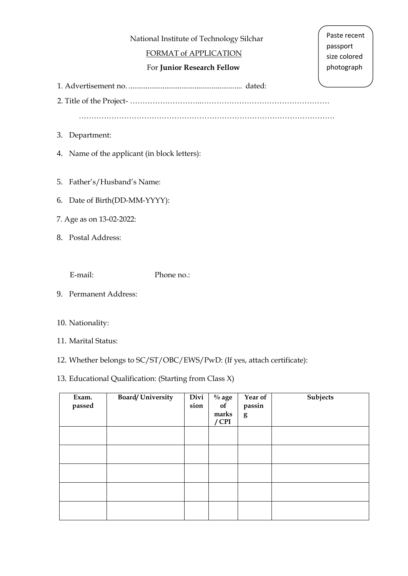National Institute of Technology Silchar

# FORMAT of APPLICATION

# For **Junior Research Fellow**

Paste recent passport size colored photograph

1. Advertisement no. ............................................................ dated:

2. Title of the Project- ………………………..……………………………………………

…………………………………………………………………………………………

- 3. Department:
- 4. Name of the applicant (in block letters):
- 5. Father's/Husband's Name:
- 6. Date of Birth(DD-MM-YYYY):
- 7. Age as on 13-02-2022:
- 8. Postal Address:

E-mail: Phone no.:

9. Permanent Address:

#### 10. Nationality:

- 11. Marital Status:
- 12. Whether belongs to SC/ST/OBC/EWS/PwD: (If yes, attach certificate):

### 13. Educational Qualification: (Starting from Class X)

| Exam.<br>passed | <b>Board/University</b> | Divi<br>sion | $\%$ age<br>of<br>marks<br>$/$ CPI | Year of<br>passin<br>g | Subjects |
|-----------------|-------------------------|--------------|------------------------------------|------------------------|----------|
|                 |                         |              |                                    |                        |          |
|                 |                         |              |                                    |                        |          |
|                 |                         |              |                                    |                        |          |
|                 |                         |              |                                    |                        |          |
|                 |                         |              |                                    |                        |          |